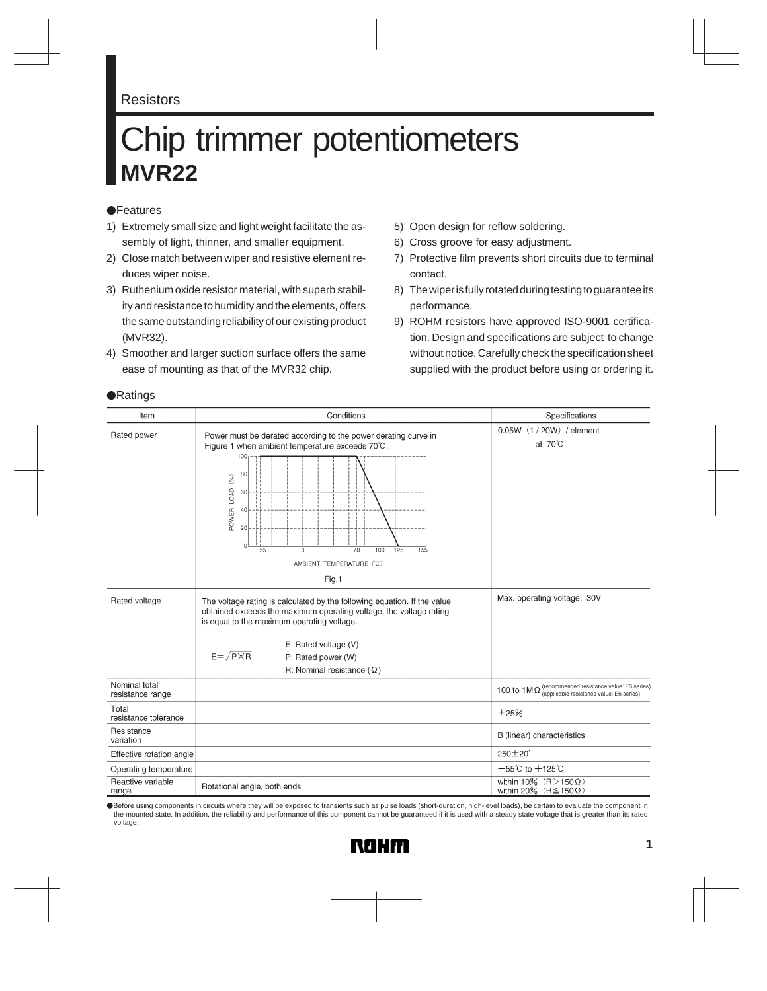#### Resistors

# Chip trimmer potentiometers **MVR22**

#### **•**Features

- 1) Extremely small size and light weight facilitate the assembly of light, thinner, and smaller equipment.
- 2) Close match between wiper and resistive element reduces wiper noise.
- 3) Ruthenium oxide resistor material, with superb stability and resistance to humidity and the elements, offers the same outstanding reliability of our existing product (MVR32).
- 4) Smoother and larger suction surface offers the same ease of mounting as that of the MVR32 chip.
- 5) Open design for reflow soldering.
- 6) Cross groove for easy adjustment.
- 7) Protective film prevents short circuits due to terminal contact.
- 8) The wiper is fully rotated during testing to guarantee its performance.
- 9) ROHM resistors have approved ISO-9001 certification. Design and specifications are subject to change without notice. Carefully check the specification sheet supplied with the product before using or ordering it.

| Item                              | Conditions                                                                                                                                                                                                                                                                                                                    | Specifications                                                                                          |
|-----------------------------------|-------------------------------------------------------------------------------------------------------------------------------------------------------------------------------------------------------------------------------------------------------------------------------------------------------------------------------|---------------------------------------------------------------------------------------------------------|
| Rated power                       | Power must be derated according to the power derating curve in<br>Figure 1 when ambient temperature exceeds 70°C.<br>100 <sub>1</sub><br>80<br>$\left(\begin{smallmatrix} 0 & 0 \\ 0 & 0 \end{smallmatrix}\right)$<br>LOAD<br>60<br>POWER<br>20<br>100<br>$-55$<br>Ò<br>70<br>125<br>155<br>AMBIENT TEMPERATURE (°C)<br>Fig.1 | 0.05W (1 / 20W) / element<br>at $70^{\circ}$ C                                                          |
| Rated voltage                     | The voltage rating is calculated by the following equation. If the value<br>obtained exceeds the maximum operating voltage, the voltage rating<br>is equal to the maximum operating voltage.<br>E: Rated voltage (V)<br>$E = \sqrt{P \times R}$<br>P: Rated power (W)<br>R: Nominal resistance $(\Omega)$                     | Max. operating voltage: 30V                                                                             |
| Nominal total<br>resistance range |                                                                                                                                                                                                                                                                                                                               | 100 to $1M\Omega$ (recommended resistance value: E3 series)<br>(applicable resistance value: E6 series) |
| Total<br>resistance tolerance     |                                                                                                                                                                                                                                                                                                                               | ±25%                                                                                                    |
| Resistance<br>variation           |                                                                                                                                                                                                                                                                                                                               | B (linear) characteristics                                                                              |
| Effective rotation angle          |                                                                                                                                                                                                                                                                                                                               | $250 \pm 20^{\circ}$                                                                                    |
| Operating temperature             |                                                                                                                                                                                                                                                                                                                               | $-55^{\circ}$ C to $+125^{\circ}$ C                                                                     |
| Reactive variable<br>range        | Rotational angle, both ends                                                                                                                                                                                                                                                                                                   | within 10% $(R>150 \Omega)$<br>within 20% (R $\leq$ 150 $\Omega$ )                                      |

Before using components in circuits where they will be exposed to transients such as pulse loads (short-duration, high-level loads), be certain to evaluate the component in the mounted state. In addition, the reliability and performance of this component cannot be guaranteed if it is used with a steady state voltage that is greater than its rated voltage.

#### **•**Ratings

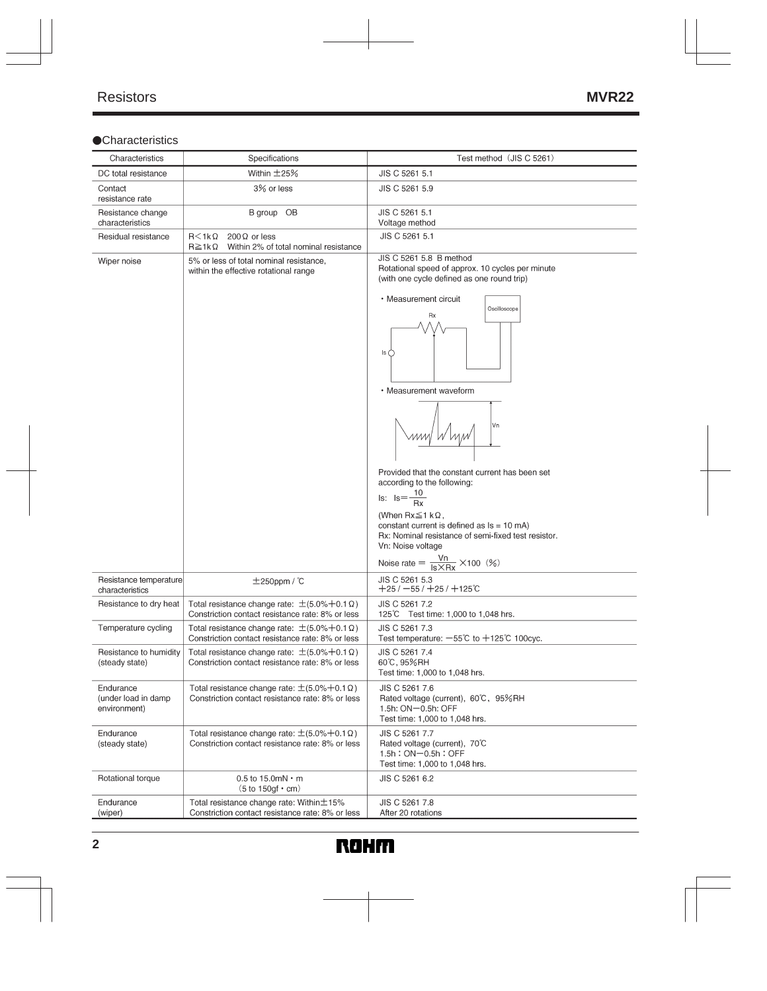## **Characteristics**

| Characteristics                                  | Specifications                                                                                                 | Test method (JIS C 5261)                                                                                                                                                                                                                                                                                                                                                                                                                                                                                                                                  |
|--------------------------------------------------|----------------------------------------------------------------------------------------------------------------|-----------------------------------------------------------------------------------------------------------------------------------------------------------------------------------------------------------------------------------------------------------------------------------------------------------------------------------------------------------------------------------------------------------------------------------------------------------------------------------------------------------------------------------------------------------|
| DC total resistance                              | Within $\pm$ 25%                                                                                               | JIS C 5261 5.1                                                                                                                                                                                                                                                                                                                                                                                                                                                                                                                                            |
| Contact<br>resistance rate                       | 3% or less                                                                                                     | JIS C 5261 5.9                                                                                                                                                                                                                                                                                                                                                                                                                                                                                                                                            |
| Resistance change<br>characteristics             | B group OB                                                                                                     | JIS C 5261 5.1<br>Voltage method                                                                                                                                                                                                                                                                                                                                                                                                                                                                                                                          |
| Residual resistance                              | $R < 1k\Omega$<br>$200 \Omega$ or less<br>$R \geq 1k\Omega$<br>Within 2% of total nominal resistance           | JIS C 5261 5.1                                                                                                                                                                                                                                                                                                                                                                                                                                                                                                                                            |
| Wiper noise                                      | 5% or less of total nominal resistance,<br>within the effective rotational range                               | JIS C 5261 5.8 B method<br>Rotational speed of approx. 10 cycles per minute<br>(with one cycle defined as one round trip)<br>• Measurement circuit<br>Oscilloscope<br>Rx<br>ls (<br>• Measurement waveform<br>Vn<br>Provided that the constant current has been set<br>according to the following:<br>$\frac{10}{Rx}$<br>$Is: Is = -$<br>(When $Rx \leq 1 k\Omega$ ,<br>constant current is defined as $Is = 10$ mA)<br>Rx: Nominal resistance of semi-fixed test resistor.<br>Vn: Noise voltage<br>Noise rate = $\frac{Vn}{Is \times Rx} \times 100$ (%) |
| Resistance temperature<br>characteristics        | $±250$ ppm / $°C$                                                                                              | JIS C 5261 5.3<br>$+25$ / −55 / $+25$ / $+125$ $\degree$ C                                                                                                                                                                                                                                                                                                                                                                                                                                                                                                |
| Resistance to dry heat                           | Total resistance change rate: $\pm$ (5.0%+0.1 $\Omega$ )<br>Constriction contact resistance rate: 8% or less   | JIS C 5261 7.2<br>125°C Test time: 1,000 to 1,048 hrs.                                                                                                                                                                                                                                                                                                                                                                                                                                                                                                    |
| Temperature cycling                              | Total resistance change rate: $\pm$ (5.0% + 0.1 $\Omega$ )<br>Constriction contact resistance rate: 8% or less | JIS C 5261 7.3<br>Test temperature: $-55^{\circ}$ C to $+125^{\circ}$ C 100cyc.                                                                                                                                                                                                                                                                                                                                                                                                                                                                           |
| Resistance to humidity<br>(steady state)         | Total resistance change rate: $\pm$ (5.0%+0.1 $\Omega$ )<br>Constriction contact resistance rate: 8% or less   | JIS C 5261 7.4<br>60℃, 95%RH<br>Test time: 1,000 to 1,048 hrs.                                                                                                                                                                                                                                                                                                                                                                                                                                                                                            |
| Endurance<br>(under load in damp<br>environment) | Total resistance change rate: $\pm$ (5.0% + 0.1 $\Omega$ )<br>Constriction contact resistance rate: 8% or less | JIS C 5261 7.6<br>Rated voltage (current), 60°C, 95%RH<br>1.5h: ON-0.5h: OFF<br>Test time: 1,000 to 1,048 hrs.                                                                                                                                                                                                                                                                                                                                                                                                                                            |
| Endurance<br>(steady state)                      | Total resistance change rate: $\pm$ (5.0%+0.1 $\Omega$ )<br>Constriction contact resistance rate: 8% or less   | JIS C 5261 7.7<br>Rated voltage (current), 70°C<br>1.5h: ON-0.5h: OFF<br>Test time: 1,000 to 1,048 hrs.                                                                                                                                                                                                                                                                                                                                                                                                                                                   |
| Rotational torque                                | $0.5$ to 15.0mN $\cdot$ m<br>$(5 to 150gf \cdot cm)$                                                           | JIS C 5261 6.2                                                                                                                                                                                                                                                                                                                                                                                                                                                                                                                                            |
| Endurance<br>(wiper)                             | Total resistance change rate: Within ±15%<br>Constriction contact resistance rate: 8% or less                  | JIS C 5261 7.8<br>After 20 rotations                                                                                                                                                                                                                                                                                                                                                                                                                                                                                                                      |

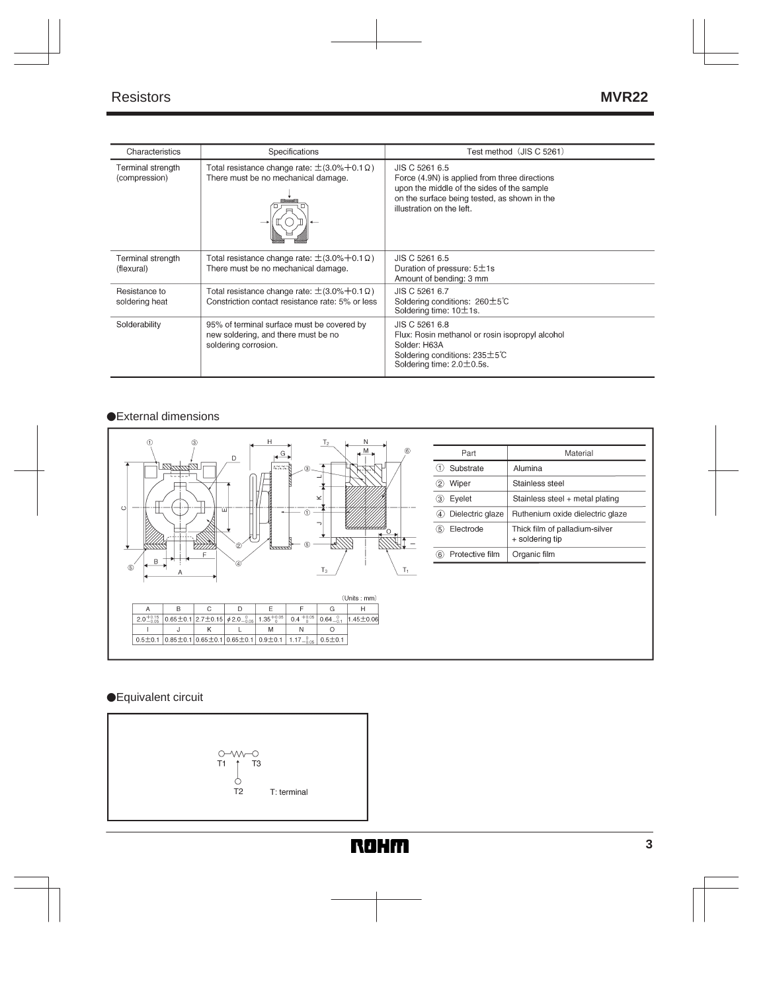| Characteristics                    | Specifications                                                                                               | Test method (JIS C 5261)                                                                                                                                                                   |
|------------------------------------|--------------------------------------------------------------------------------------------------------------|--------------------------------------------------------------------------------------------------------------------------------------------------------------------------------------------|
| Terminal strength<br>(compression) | Total resistance change rate: $\pm$ (3.0% + 0.1 $\Omega$ )<br>There must be no mechanical damage.            | JIS C 5261 6.5<br>Force (4.9N) is applied from three directions<br>upon the middle of the sides of the sample<br>on the surface being tested, as shown in the<br>illustration on the left. |
| Terminal strength<br>(flexural)    | Total resistance change rate: $\pm$ (3.0% + 0.1 $\Omega$ )<br>There must be no mechanical damage.            | JIS C 5261 6.5<br>Duration of pressure: $5\pm1$ s<br>Amount of bending: 3 mm                                                                                                               |
| Resistance to<br>soldering heat    | Total resistance change rate: $\pm$ (3.0%+0.1 $\Omega$ )<br>Constriction contact resistance rate: 5% or less | JIS C 5261 6.7<br>Soldering conditions: 260±5℃<br>Soldering time: $10 \pm 1$ s.                                                                                                            |
| Solderability                      | 95% of terminal surface must be covered by<br>new soldering, and there must be no<br>soldering corrosion.    | JIS C 5261 6.8<br>Flux: Rosin methanol or rosin isopropyl alcohol<br>Solder: H63A<br>Soldering conditions: 235±5℃<br>Soldering time: $2.0 \pm 0.5$ s.                                      |

#### External dimensions



| Part                                   | Material                                          |
|----------------------------------------|---------------------------------------------------|
| Substrate                              | Alumina                                           |
| Wiper<br>2.                            | Stainless steel                                   |
| Eyelet<br>(3)                          | Stainless steel + metal plating                   |
| Dielectric glaze<br>(4)                | Ruthenium oxide dielectric glaze                  |
| Electrode<br>$\langle \hat{5} \rangle$ | Thick film of palladium-silver<br>+ soldering tip |
| Protective film                        | Organic film                                      |

### ●Equivalent circuit

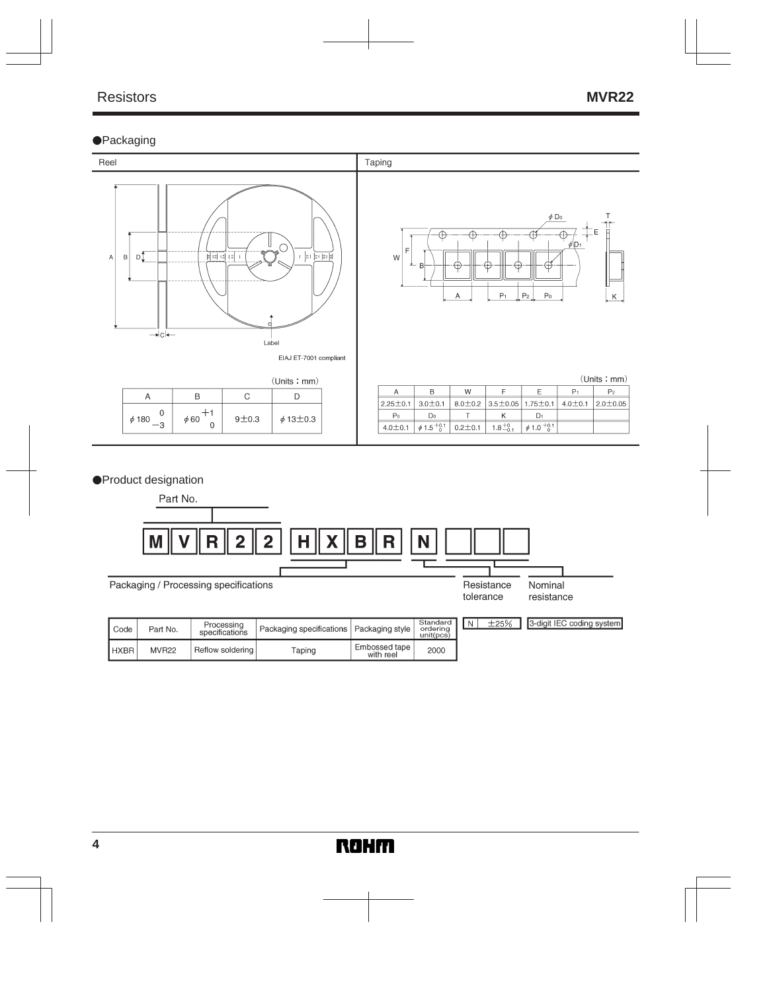#### **•**Packaging



#### ●Product designation

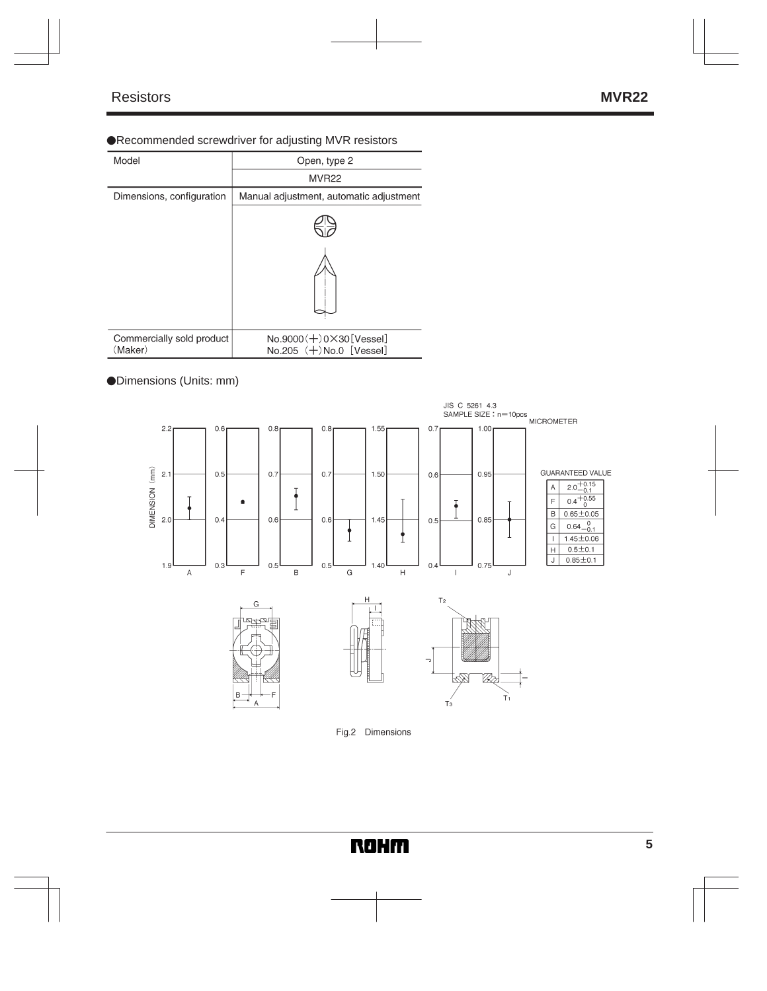#### Recommended screwdriver for adjusting MVR resistors

| Model                                | Open, type 2                                                     |
|--------------------------------------|------------------------------------------------------------------|
|                                      | MVR <sub>22</sub>                                                |
| Dimensions, configuration            | Manual adjustment, automatic adjustment                          |
|                                      |                                                                  |
|                                      |                                                                  |
| Commercially sold product<br>(Maker) | $No.9000 (+) 0 \times 30$ [Vessel]<br>$No.205 (+) No.0$ [Vessel] |

## Dimensions (Units: mm)



#### Fig.2 Dimensions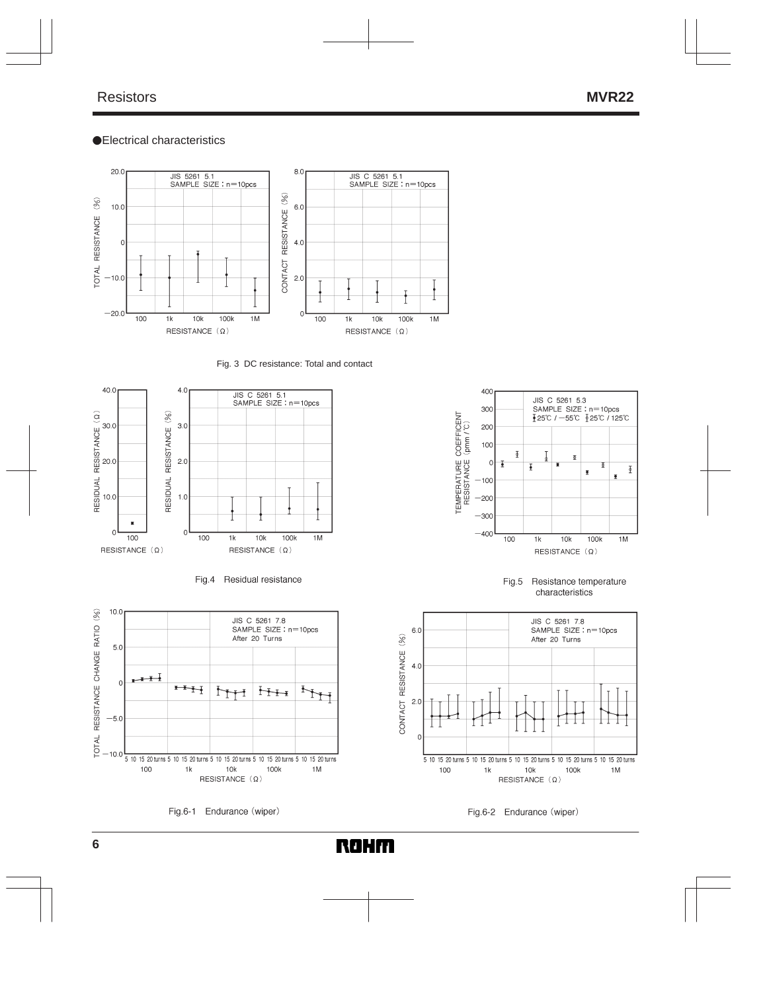#### Electrical characteristics



Fig. 3 DC resistance: Total and contact







Fig.6-1 Endurance (wiper)

**ROHM** 



Fig.5 Resistance temperature characteristics



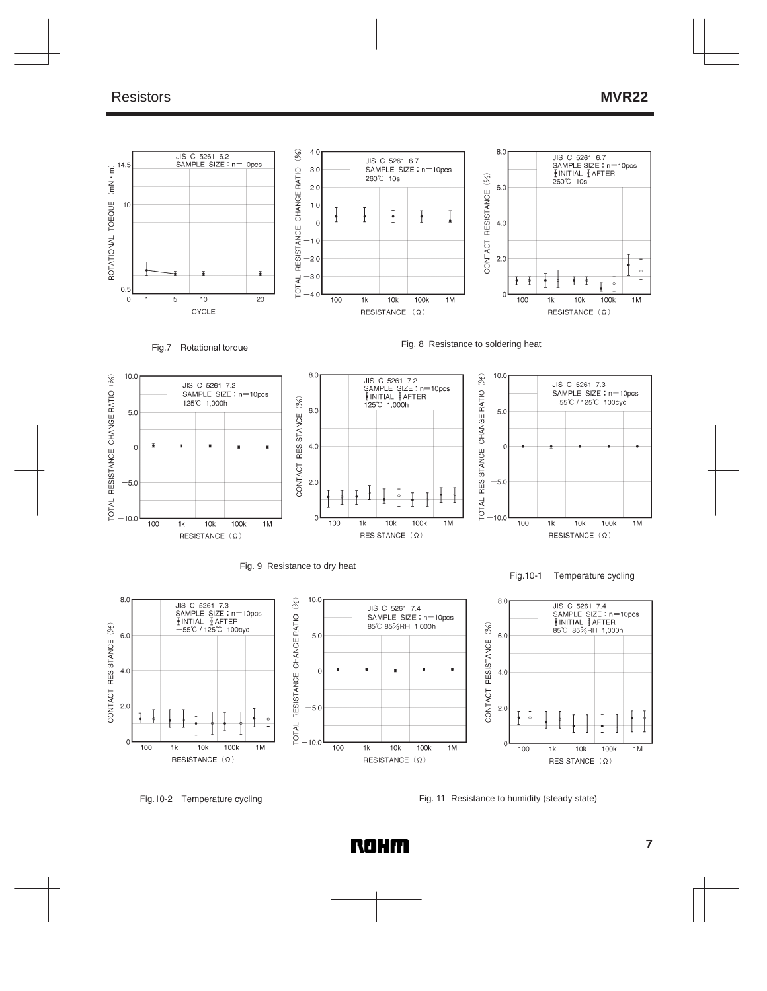